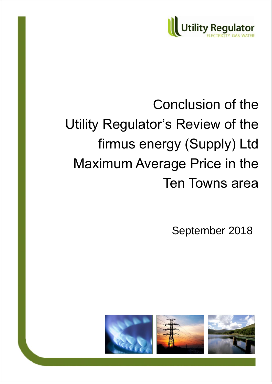

# Conclusion of the Utility Regulator's Review of the firmus energy (Supply) Ltd Maximum Average Price in the Ten Towns area

September 2018

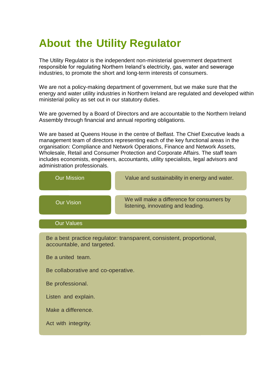# **About the Utility Regulator**

The Utility Regulator is the independent non-ministerial government department responsible for regulating Northern Ireland's electricity, gas, water and sewerage industries, to promote the short and long-term interests of consumers.

We are not a policy-making department of government, but we make sure that the energy and water utility industries in Northern Ireland are regulated and developed within ministerial policy as set out in our statutory duties.

We are governed by a Board of Directors and are accountable to the Northern Ireland Assembly through financial and annual reporting obligations.

We are based at Queens House in the centre of Belfast. The Chief Executive leads a management team of directors representing each of the key functional areas in the organisation: Compliance and Network Operations, Finance and Network Assets, Wholesale, Retail and Consumer Protection and Corporate Affairs. The staff team includes economists, engineers, accountants, utility specialists, legal advisors and administration professionals.

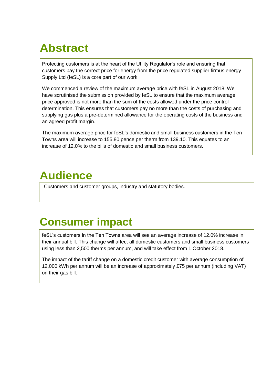# **Abstract**

Protecting customers is at the heart of the Utility Regulator's role and ensuring that customers pay the correct price for energy from the price regulated supplier firmus energy Supply Ltd (feSL) is a core part of our work.

We commenced a review of the maximum average price with feSL in August 2018. We have scrutinised the submission provided by feSL to ensure that the maximum average price approved is not more than the sum of the costs allowed under the price control determination. This ensures that customers pay no more than the costs of purchasing and supplying gas plus a pre-determined allowance for the operating costs of the business and an agreed profit margin.

The maximum average price for feSL's domestic and small business customers in the Ten Towns area will increase to 155.80 pence per therm from 139.10. This equates to an increase of 12.0% to the bills of domestic and small business customers.

# **Audience**

Customers and customer groups, industry and statutory bodies.

# **Consumer impact**

feSL's customers in the Ten Towns area will see an average increase of 12.0% increase in their annual bill. This change will affect all domestic customers and small business customers using less than 2,500 therms per annum, and will take effect from 1 October 2018.

The impact of the tariff change on a domestic credit customer with average consumption of 12,000 kWh per annum will be an increase of approximately £75 per annum (including VAT) on their gas bill.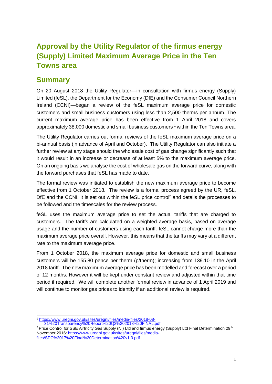# **Approval by the Utility Regulator of the firmus energy (Supply) Limited Maximum Average Price in the Ten Towns area**

### **Summary**

On 20 August 2018 the Utility Regulator—in consultation with firmus energy (Supply) Limited (feSL), the Department for the Economy (DfE) and the Consumer Council Northern Ireland (CCNI)—began a review of the feSL maximum average price for domestic customers and small business customers using less than 2,500 therms per annum. The current maximum average price has been effective from 1 April 2018 and covers approximately 38,000 domestic and small business customers  $1$  within the Ten Towns area.

The Utility Regulator carries out formal reviews of the feSL maximum average price on a bi-annual basis (in advance of April and October). The Utility Regulator can also initiate a further review at any stage should the wholesale cost of gas change significantly such that it would result in an increase or decrease of at least 5% to the maximum average price. On an ongoing basis we analyse the cost of wholesale gas on the forward curve, along with the forward purchases that feSL has made to date.

The formal review was initiated to establish the new maximum average price to become effective from 1 October 2018. The review is a formal process agreed by the UR, feSL, DfE and the CCNI. It is set out within the feSL price control<sup>2</sup> and details the processes to be followed and the timescales for the review process.

feSL uses the maximum average price to set the actual tariffs that are charged to customers. The tariffs are calculated on a weighted average basis, based on average usage and the number of customers using each tariff. feSL cannot charge more than the maximum average price overall. However, this means that the tariffs may vary at a different rate to the maximum average price.

From 1 October 2018, the maximum average price for domestic and small business customers will be 155.80 pence per therm (p/therm); increasing from 139.10 in the April 2018 tariff. The new maximum average price has been modelled and forecast over a period of 12 months. However it will be kept under constant review and adjusted within that time period if required. We will complete another formal review in advance of 1 April 2019 and will continue to monitor gas prices to identify if an additional review is required.

 $\overline{\phantom{a}}$ <sup>1</sup> [https://www.uregni.gov.uk/sites/uregni/files/media-files/2018-08-](https://www.uregni.gov.uk/sites/uregni/files/media-files/2018-08-31%20Transparency%20Report%20Q2%202018%20FINAL.pdf)

[<sup>31%20</sup>Transparency%20Report%20Q2%202018%20FINAL.pdf](https://www.uregni.gov.uk/sites/uregni/files/media-files/2018-08-31%20Transparency%20Report%20Q2%202018%20FINAL.pdf)

<sup>&</sup>lt;sup>2</sup> Price Control for SSE Airtricity Gas Supply (NI) Ltd and firmus energy (Supply) Ltd Final Determination 29<sup>th</sup> November 2016: [https://www.uregni.gov.uk/sites/uregni/files/media](https://www.uregni.gov.uk/sites/uregni/files/media-files/SPC%2017%20Final%20Determination%20v1.0.pdf)[files/SPC%2017%20Final%20Determination%20v1.0.pdf](https://www.uregni.gov.uk/sites/uregni/files/media-files/SPC%2017%20Final%20Determination%20v1.0.pdf)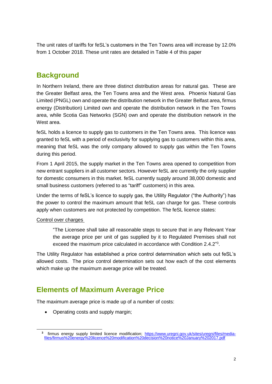The unit rates of tariffs for feSL's customers in the Ten Towns area will increase by 12.0% from 1 October 2018. These unit rates are detailed in Table 4 of this paper

## **Background**

In Northern Ireland, there are three distinct distribution areas for natural gas. These are the Greater Belfast area, the Ten Towns area and the West area. Phoenix Natural Gas Limited (PNGL) own and operate the distribution network in the Greater Belfast area, firmus energy (Distribution) Limited own and operate the distribution network in the Ten Towns area, while Scotia Gas Networks (SGN) own and operate the distribution network in the West area.

feSL holds a licence to supply gas to customers in the Ten Towns area. This licence was granted to feSL with a period of exclusivity for supplying gas to customers within this area, meaning that feSL was the only company allowed to supply gas within the Ten Towns during this period.

From 1 April 2015, the supply market in the Ten Towns area opened to competition from new entrant suppliers in all customer sectors. However feSL are currently the only supplier for domestic consumers in this market. feSL currently supply around 38,000 domestic and small business customers (referred to as "tariff" customers) in this area.

Under the terms of feSL's licence to supply gas, the Utility Regulator ("the Authority") has the power to control the maximum amount that feSL can charge for gas. These controls apply when customers are not protected by competition. The feSL licence states:

#### Control over charges

 $\overline{\phantom{a}}$ 

"The Licensee shall take all reasonable steps to secure that in any Relevant Year the average price per unit of gas supplied by it to Regulated Premises shall not exceed the maximum price calculated in accordance with Condition 2.4.2"<sup>3</sup>.

The Utility Regulator has established a price control determination which sets out feSL's allowed costs. The price control determination sets out how each of the cost elements which make up the maximum average price will be treated.

# **Elements of Maximum Average Price**

The maximum average price is made up of a number of costs:

• Operating costs and supply margin;

**<sup>3</sup>** firmus energy supply limited licence modification; [https://www.uregni.gov.uk/sites/uregni/files/media](https://www.uregni.gov.uk/sites/uregni/files/media-files/firmus%20energy%20licence%20modification%20decision%20notice%20January%202017.pdf)[files/firmus%20energy%20licence%20modification%20decision%20notice%20January%202017.pdf](https://www.uregni.gov.uk/sites/uregni/files/media-files/firmus%20energy%20licence%20modification%20decision%20notice%20January%202017.pdf)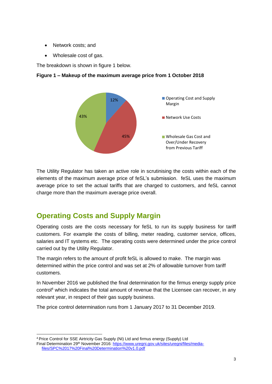- Network costs; and
- Wholesale cost of gas.

The breakdown is shown in figure 1 below.



#### **Figure 1 – Makeup of the maximum average price from 1 October 2018**

The Utility Regulator has taken an active role in scrutinising the costs within each of the elements of the maximum average price of feSL's submission. feSL uses the maximum average price to set the actual tariffs that are charged to customers, and feSL cannot charge more than the maximum average price overall.

# **Operating Costs and Supply Margin**

Operating costs are the costs necessary for feSL to run its supply business for tariff customers. For example the costs of billing, meter reading, customer service, offices, salaries and IT systems etc. The operating costs were determined under the price control carried out by the Utility Regulator.

The margin refers to the amount of profit feSL is allowed to make. The margin was determined within the price control and was set at 2% of allowable turnover from tariff customers.

In November 2016 we published the final determination for the firmus energy supply price control<sup>4</sup> which indicates the total amount of revenue that the Licensee can recover, in any relevant year, in respect of their gas supply business.

The price control determination runs from 1 January 2017 to 31 December 2019.

 $\overline{a}$ <sup>4</sup> Price Control for SSE Airtricity Gas Supply (NI) Ltd and firmus energy (Supply) Ltd

Final Determination 29<sup>th</sup> November 2016: [https://www.uregni.gov.uk/sites/uregni/files/media](https://www.uregni.gov.uk/sites/uregni/files/media-files/SPC%2017%20Final%20Determination%20v1.0.pdf)[files/SPC%2017%20Final%20Determination%20v1.0.pdf](https://www.uregni.gov.uk/sites/uregni/files/media-files/SPC%2017%20Final%20Determination%20v1.0.pdf)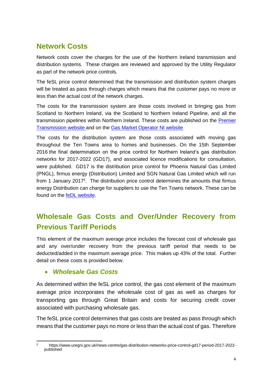# **Network Costs**

Network costs cover the charges for the use of the Northern Ireland transmission and distribution systems. These charges are reviewed and approved by the Utility Regulator as part of the network price controls.

The feSL price control determined that the transmission and distribution system charges will be treated as pass through charges which means that the customer pays no more or less than the actual cost of the network charges.

The costs for the transmission system are those costs involved in bringing gas from Scotland to Northern Ireland, via the Scotland to Northern Ireland Pipeline, and all the transmission pipelines within Northern Ireland. These costs are published on the [Premier](http://www.premier-transmission.com/)  [Transmission website](http://www.premier-transmission.com/) and on the [Gas Market Operator NI](http://gmo-ni.com/) website

The costs for the distribution system are those costs associated with moving gas throughout the Ten Towns area to homes and businesses. On the 15th September 2016 the [final determination on the price control for Northern Ireland's gas distribution](https://www.uregni.gov.uk/news-centre/gas-distribution-networks-price-control-gd17-period-2017-2022-published)  [networks for 2017-2022 \(GD17\), a](https://www.uregni.gov.uk/news-centre/gas-distribution-networks-price-control-gd17-period-2017-2022-published)nd associated licence modifications for consultation, were published. GD17 is the distribution price control for Phoenix Natural Gas Limited (PNGL), firmus energy (Distribution) Limited and SGN Natural Gas Limited which will run from 1 January 2017<sup>5</sup>. The distribution price control determines the amounts that firmus energy Distribution can charge for suppliers to use the Ten Towns network. These can be found on the feDL [website.](http://www.firmusenergy.co.uk/about_us.aspx?dataid=507590)

# **Wholesale Gas Costs and Over/Under Recovery from Previous Tariff Periods**

This element of the maximum average price includes the forecast cost of wholesale gas and any over/under recovery from the previous tariff period that needs to be deducted/added in the maximum average price. This makes up 43% of the total. Further detail on these costs is provided below.

#### *Wholesale Gas Costs*

As determined within the feSL price control, the gas cost element of the maximum average price incorporates the wholesale cost of gas as well as charges for transporting gas through Great Britain and costs for securing credit cover associated with purchasing wholesale gas.

The feSL price control determines that gas costs are treated as pass through which means that the customer pays no more or less than the actual cost of gas. Therefore

<sup>5</sup> <sup>5</sup> https://www.uregni.gov.uk/news-centre/gas-distribution-networks-price-control-gd17-period-2017-2022 published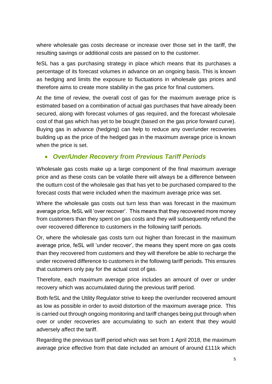where wholesale gas costs decrease or increase over those set in the tariff, the resulting savings or additional costs are passed on to the customer.

feSL has a gas purchasing strategy in place which means that its purchases a percentage of its forecast volumes in advance on an ongoing basis. This is known as hedging and limits the exposure to fluctuations in wholesale gas prices and therefore aims to create more stability in the gas price for final customers.

At the time of review, the overall cost of gas for the maximum average price is estimated based on a combination of actual gas purchases that have already been secured, along with forecast volumes of gas required, and the forecast wholesale cost of that gas which has yet to be bought (based on the gas price forward curve). Buying gas in advance (hedging) can help to reduce any over/under recoveries building up as the price of the hedged gas in the maximum average price is known when the price is set.

#### *Over/Under Recovery from Previous Tariff Periods*

Wholesale gas costs make up a large component of the final maximum average price and as these costs can be volatile there will always be a difference between the outturn cost of the wholesale gas that has yet to be purchased compared to the forecast costs that were included when the maximum average price was set.

Where the wholesale gas costs out turn less than was forecast in the maximum average price, feSL will 'over recover'. This means that they recovered more money from customers than they spent on gas costs and they will subsequently refund the over recovered difference to customers in the following tariff periods.

Or, where the wholesale gas costs turn out higher than forecast in the maximum average price, feSL will 'under recover', the means they spent more on gas costs than they recovered from customers and they will therefore be able to recharge the under recovered difference to customers in the following tariff periods. This ensures that customers only pay for the actual cost of gas.

Therefore, each maximum average price includes an amount of over or under recovery which was accumulated during the previous tariff period.

Both feSL and the Utility Regulator strive to keep the over/under recovered amount as low as possible in order to avoid distortion of the maximum average price. This is carried out through ongoing monitoring and tariff changes being put through when over or under recoveries are accumulating to such an extent that they would adversely affect the tariff.

Regarding the previous tariff period which was set from 1 April 2018, the maximum average price effective from that date included an amount of around £111k which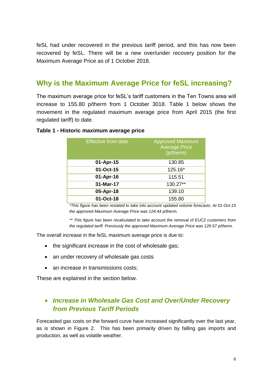feSL had under recovered in the previous tariff period, and this has now been recovered by feSL. There will be a new over/under recovery position for the Maximum Average Price as of 1 October 2018.

### **Why is the Maximum Average Price for feSL increasing?**

The maximum average price for feSL's tariff customers in the Ten Towns area will increase to 155.80 p/therm from 1 October 3018. Table 1 below shows the movement in the regulated maximum average price from April 2015 (the first regulated tariff) to date.

#### **Table 1 - Historic maximum average price**

| <b>Effective from date</b> | <b>Approved Maximum</b><br><b>Average Price</b><br>(p/therm) |
|----------------------------|--------------------------------------------------------------|
| 01-Apr-15                  | 130.85                                                       |
| 01-Oct-15                  | 125.16*                                                      |
| 01-Apr-16                  | 115.51                                                       |
| 31-Mar-17                  | 130.27**                                                     |
| 05-Apr-18                  | 139.10                                                       |
| 01-Oct-18                  | 155.80                                                       |

*\*This figure has been restated to take into account updated volume forecasts. At 01-Oct-15 the approved Maximum Average Price was 124.44 p/therm.*

*\*\* This figure has been recalculated to take account the removal of EUC2 customers from the regulated tariff. Previously the approved Maximum Average Price was 129.57 p/therm.*

The overall increase in the feSL maximum average price is due to:

- the significant increase in the cost of wholesale gas;
- an under recovery of wholesale gas costs
- an increase in transmissions costs:

These are explained in the section below.

### *Increase in Wholesale Gas Cost and Over/Under Recovery from Previous Tariff Periods*

Forecasted gas costs on the forward curve have increased significantly over the last year, as is shown in Figure 2. This has been primarily driven by falling gas imports and production, as well as volatile weather.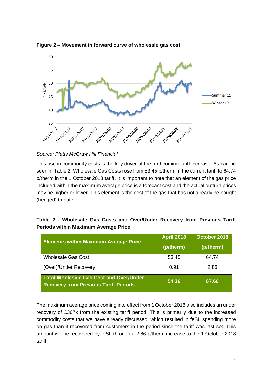

**Figure 2 – Movement in forward curve of wholesale gas cost**

*Source: Platts McGraw Hill Financial*

This rise in commodity costs is the key driver of the forthcoming tariff increase. As can be seen in Table 2, Wholesale Gas Costs rose from 53.45 p/therm in the current tariff to 64.74 p/therm in the 1 October 2018 tariff. It is important to note that an element of the gas price included within the maximum average price is a forecast cost and the actual outturn prices may be higher or lower. This element is the cost of the gas that has not already be bought (hedged) to date.

| Table 2 - Wholesale Gas Costs and Over/Under Recovery from Previous Tariff |  |  |  |  |
|----------------------------------------------------------------------------|--|--|--|--|
| <b>Periods within Maximum Average Price</b>                                |  |  |  |  |

| <b>Elements within Maximum Average Price</b>                                                   | <b>April 2018</b><br>(p/therm) | October 2018<br>(p/therm) |
|------------------------------------------------------------------------------------------------|--------------------------------|---------------------------|
| <b>Wholesale Gas Cost</b>                                                                      | 53.45                          | 64.74                     |
| (Over)/Under Recovery                                                                          | 0.91                           | 2.86                      |
| <b>Total Wholesale Gas Cost and Over/Under</b><br><b>Recovery from Previous Tariff Periods</b> | 54.36                          | 67.60                     |

The maximum average price coming into effect from 1 October 2018 also includes an under recovery of £367k from the existing tariff period. This is primarily due to the increased commodity costs that we have already discussed, which resulted in feSL spending more on gas than it recovered from customers in the period since the tariff was last set. This amount will be recovered by feSL through a 2.86 p/therm increase to the 1 October 2018 tariff.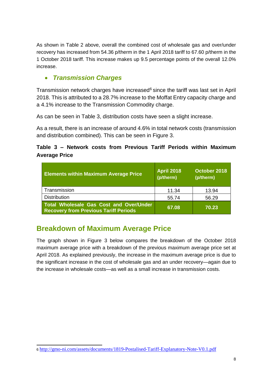As shown in Table 2 above, overall the combined cost of wholesale gas and over/under recovery has increased from 54.36 p/therm in the 1 April 2018 tariff to 67.60 p/therm in the 1 October 2018 tariff. This increase makes up 9.5 percentage points of the overall 12.0% increase.

#### *Transmission Charges*

Transmission network charges have increased<sup>6</sup> since the tariff was last set in April 2018. This is attributed to a 28.7% increase to the Moffat Entry capacity charge and a 4.1% increase to the Transmission Commodity charge.

As can be seen in Table 3, distribution costs have seen a slight increase.

As a result, there is an increase of around 4.6% in total network costs (transmission and distribution combined). This can be seen in Figure 3.

#### **Table 3 – Network costs from Previous Tariff Periods within Maximum Average Price**

| <b>Elements within Maximum Average Price</b>                                            | <b>April 2018</b><br>(p/therm) | October 2018<br>(p/therm) |
|-----------------------------------------------------------------------------------------|--------------------------------|---------------------------|
| Transmission                                                                            | 11.34                          | 13.94                     |
| <b>Distribution</b>                                                                     | 55.74                          | 56.29                     |
| Total Wholesale Gas Cost and Over/Under<br><b>Recovery from Previous Tariff Periods</b> | 67.08                          | 70.23                     |

# **Breakdown of Maximum Average Price**

The graph shown in Figure 3 below compares the breakdown of the October 2018 maximum average price with a breakdown of the previous maximum average price set at April 2018. As explained previously, the increase in the maximum average price is due to the significant increase in the cost of wholesale gas and an under recovery—again due to the increase in wholesale costs—as well as a small increase in transmission costs.

 $\overline{a}$ 6 <http://gmo-ni.com/assets/documents/1819-Postalised-Tariff-Explanatory-Note-V0.1.pdf>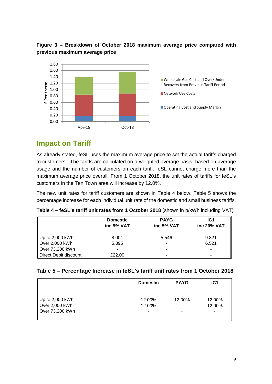

#### **Figure 3 – Breakdown of October 2018 maximum average price compared with previous maximum average price**

# **Impact on Tariff**

As already stated, feSL uses the maximum average price to set the actual tariffs charged to customers. The tariffs are calculated on a weighted average basis, based on average usage and the number of customers on each tariff. feSL cannot charge more than the maximum average price overall. From 1 October 2018, the unit rates of tariffs for feSL's customers in the Ten Town area will increase by 12.0%.

The new unit rates for tariff customers are shown in Table 4 below. Table 5 shows the percentage increase for each individual unit rate of the domestic and small business tariffs.

| Table 4 - feSL's tariff unit rates from 1 October 2018 (shown in p/kWh including VAT) |  |
|---------------------------------------------------------------------------------------|--|
|---------------------------------------------------------------------------------------|--|

|                             | <b>Domestic</b><br>inc 5% VAT | <b>PAYG</b><br>inc 5% VAT | IC <sub>1</sub><br>inc 20% VAT |
|-----------------------------|-------------------------------|---------------------------|--------------------------------|
| $\parallel$ Up to 2,000 kWh | 8.001                         | 5.546                     | 9.821                          |
| Over $2,000$ kWh            | 5.395                         |                           | 6.521                          |
| Over 73,200 kWh             |                               |                           |                                |
| Direct Debit discount       | £22.00                        |                           |                                |

#### **Table 5 – Percentage Increase in feSL's tariff unit rates from 1 October 2018**

|                        | <b>Domestic</b> | <b>PAYG</b> | IC <sub>1</sub> |
|------------------------|-----------------|-------------|-----------------|
| Up to 2,000 kWh        | 12.00%          | 12.00%      | 12.00%          |
| $\vert$ Over 2,000 kWh | 12.00%          |             | 12.00%          |
| Over 73,200 kWh        | -               |             |                 |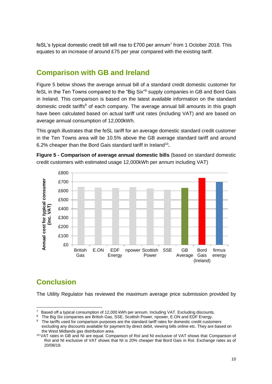feSL's typical domestic credit bill will rise to £700 per annum<sup>7</sup> from 1 October 2018. This equates to an increase of around £75 per year compared with the existing tariff.

### **Comparison with GB and Ireland**

Figure 5 below shows the average annual bill of a standard credit domestic customer for feSL in the Ten Towns compared to the "Big Six" <sup>8</sup> supply companies in GB and Bord Gais in Ireland. This comparison is based on the latest available information on the standard domestic credit tariffs<sup>9</sup> of each company. The average annual bill amounts in this graph have been calculated based on actual tariff unit rates (including VAT) and are based on average annual consumption of 12,000kWh.

This graph illustrates that the feSL tariff for an average domestic standard credit customer in the Ten Towns area will be 10.5% above the GB average standard tariff and around 6.2% cheaper than the Bord Gais standard tariff in Ireland<sup>10</sup>.

**Figure 5 - Comparison of average annual domestic bills** (based on standard domestic credit customers with estimated usage 12,000kWh per annum including VAT)



# **Conclusion**

The Utility Regulator has reviewed the maximum average price submission provided by

 $\overline{7}$ Based off a typical consumption of 12,000 kWh per annum. Including VAT. Excluding discounts.

<sup>&</sup>lt;sup>8</sup> The Big Six companies are British Gas, SSE, Scottish Power, npower, E.ON and EDF Energy.

<sup>&</sup>lt;sup>9</sup> The tariffs used for comparison purposes are the standard tariff rates for domestic credit customers excluding any discounts available for payment by direct debit, viewing bills online etc. They are based on the West Midlands gas distribution area.

<sup>&</sup>lt;sup>10</sup> VAT rates in GB and NI are equal. Comparison of RoI and NI exclusive of VAT shows that Comparison of RoI and NI exclusive of VAT shows that NI is 20% cheaper that Bord Gais in RoI. Exchange rates as of 20/08/18.